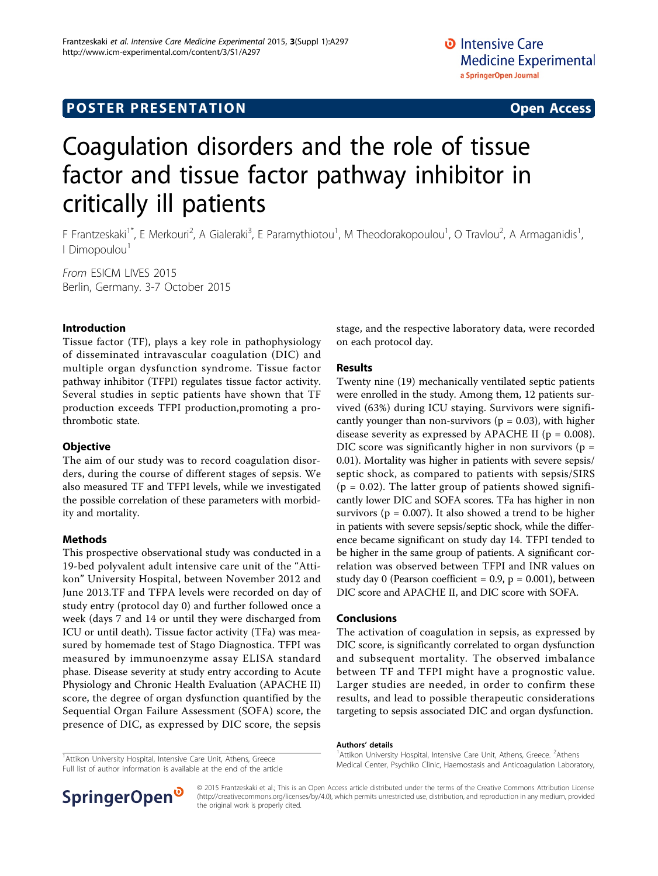# **POSTER PRESENTATION CONSUMING THE SERVICE SERVICE SERVICES**

# Coagulation disorders and the role of tissue factor and tissue factor pathway inhibitor in critically ill patients

F Frantzeskaki<sup>1\*</sup>, E Merkouri<sup>2</sup>, A Gialeraki<sup>3</sup>, E Paramythiotou<sup>1</sup>, M Theodorakopoulou<sup>1</sup>, O Travlou<sup>2</sup>, A Armaganidis<sup>1</sup> , I Dimopoulou<sup>1</sup>

From ESICM LIVES 2015 Berlin, Germany. 3-7 October 2015

## Introduction

Tissue factor (TF), plays a key role in pathophysiology of disseminated intravascular coagulation (DIC) and multiple organ dysfunction syndrome. Tissue factor pathway inhibitor (TFPI) regulates tissue factor activity. Several studies in septic patients have shown that TF production exceeds TFPI production,promoting a prothrombotic state.

### **Objective**

The aim of our study was to record coagulation disorders, during the course of different stages of sepsis. We also measured TF and TFPI levels, while we investigated the possible correlation of these parameters with morbidity and mortality.

### Methods

This prospective observational study was conducted in a 19-bed polyvalent adult intensive care unit of the "Attikon" University Hospital, between November 2012 and June 2013.TF and TFPA levels were recorded on day of study entry (protocol day 0) and further followed once a week (days 7 and 14 or until they were discharged from ICU or until death). Tissue factor activity (TFa) was measured by homemade test of Stago Diagnostica. TFPI was measured by immunoenzyme assay ELISA standard phase. Disease severity at study entry according to Acute Physiology and Chronic Health Evaluation (APACHE II) score, the degree of organ dysfunction quantified by the Sequential Organ Failure Assessment (SOFA) score, the presence of DIC, as expressed by DIC score, the sepsis

stage, and the respective laboratory data, were recorded on each protocol day.

## Results

Twenty nine (19) mechanically ventilated septic patients were enrolled in the study. Among them, 12 patients survived (63%) during ICU staying. Survivors were significantly younger than non-survivors ( $p = 0.03$ ), with higher disease severity as expressed by APACHE II ( $p = 0.008$ ). DIC score was significantly higher in non survivors ( $p =$ 0.01). Mortality was higher in patients with severe sepsis/ septic shock, as compared to patients with sepsis/SIRS  $(p = 0.02)$ . The latter group of patients showed significantly lower DIC and SOFA scores. TFa has higher in non survivors ( $p = 0.007$ ). It also showed a trend to be higher in patients with severe sepsis/septic shock, while the difference became significant on study day 14. TFPI tended to be higher in the same group of patients. A significant correlation was observed between TFPI and INR values on study day 0 (Pearson coefficient =  $0.9$ ,  $p = 0.001$ ), between DIC score and APACHE II, and DIC score with SOFA.

### Conclusions

The activation of coagulation in sepsis, as expressed by DIC score, is significantly correlated to organ dysfunction and subsequent mortality. The observed imbalance between TF and TFPI might have a prognostic value. Larger studies are needed, in order to confirm these results, and lead to possible therapeutic considerations targeting to sepsis associated DIC and organ dysfunction.

#### Authors' details <sup>1</sup>

<sup>1</sup> Attikon University Hospital, Intensive Care Unit, Athens, Greece Full list of author information is available at the end of the article



Attikon University Hospital, Intensive Care Unit, Athens, Greece. <sup>2</sup>Athens Medical Center, Psychiko Clinic, Haemostasis and Anticoagulation Laboratory,



© 2015 Frantzeskaki et al.; This is an Open Access article distributed under the terms of the Creative Commons Attribution License [\(http://creativecommons.org/licenses/by/4.0](http://creativecommons.org/licenses/by/4.0)), which permits unrestricted use, distribution, and reproduction in any medium, provided the original work is properly cited.